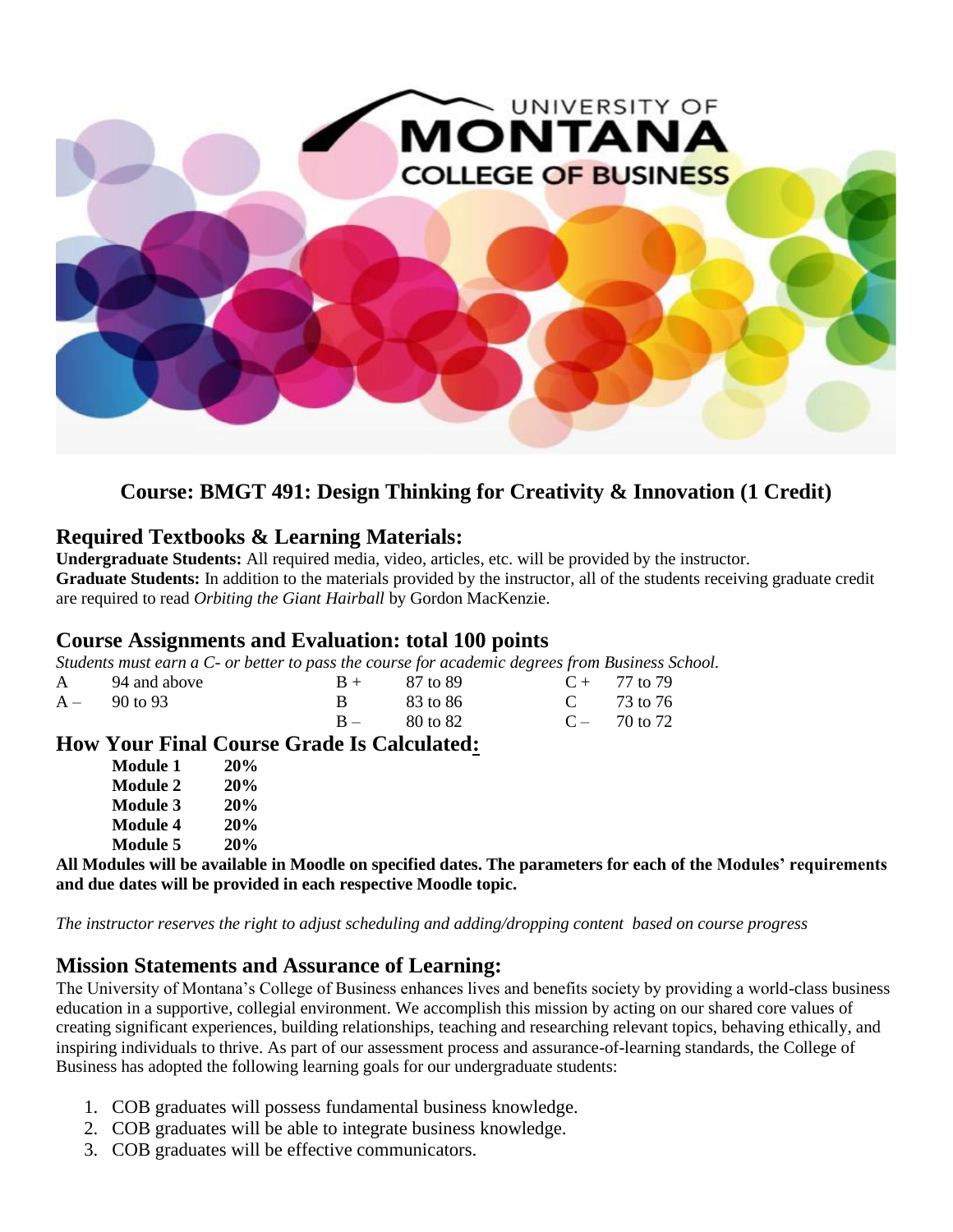

# **Course: BMGT 491: Design Thinking for Creativity & Innovation (1 Credit)**

## **Required Textbooks & Learning Materials:**

**Undergraduate Students:** All required media, video, articles, etc. will be provided by the instructor. **Graduate Students:** In addition to the materials provided by the instructor, all of the students receiving graduate credit are required to read *Orbiting the Giant Hairball* by Gordon MacKenzie.

### **Course Assignments and Evaluation: total 100 points**

*Students must earn a C- or better to pass the course for academic degrees from Business School.*

|                                                                                                                                                                                                                                                                                                                                           | A 94 and above |              | $B + 87$ to 89 |  | $C + 77$ to 79        |  |
|-------------------------------------------------------------------------------------------------------------------------------------------------------------------------------------------------------------------------------------------------------------------------------------------------------------------------------------------|----------------|--------------|----------------|--|-----------------------|--|
|                                                                                                                                                                                                                                                                                                                                           | $A - 90$ to 93 | $\mathbf{B}$ | - 83 to 86     |  | C $73 \text{ to } 76$ |  |
|                                                                                                                                                                                                                                                                                                                                           |                |              | $B - 80$ to 82 |  | $C - 70$ to 72        |  |
| $\mathbf{H}$ , $\mathbf{V}$ , $\mathbf{H}$ , $\mathbf{H}$ , $\mathbf{H}$ , $\mathbf{H}$ , $\mathbf{H}$ , $\mathbf{H}$ , $\mathbf{H}$ , $\mathbf{H}$ , $\mathbf{H}$ , $\mathbf{H}$ , $\mathbf{H}$ , $\mathbf{H}$ , $\mathbf{H}$ , $\mathbf{H}$ , $\mathbf{H}$ , $\mathbf{H}$ , $\mathbf{H}$ , $\mathbf{H}$ , $\mathbf{H}$ , $\mathbf{H}$ , |                |              |                |  |                       |  |

### **How Your Final Course Grade Is Calculated:**

| Module 1        | 20%        |
|-----------------|------------|
| <b>Module 2</b> | <b>20%</b> |
| <b>Module 3</b> | 20%        |
| <b>Module 4</b> | 20%        |
| <b>Module 5</b> | 20%        |

**All Modules will be available in Moodle on specified dates. The parameters for each of the Modules' requirements and due dates will be provided in each respective Moodle topic.**

*The instructor reserves the right to adjust scheduling and adding/dropping content based on course progress*

## **Mission Statements and Assurance of Learning:**

The University of Montana's College of Business enhances lives and benefits society by providing a world-class business education in a supportive, collegial environment. We accomplish this mission by acting on our shared core values of creating significant experiences, building relationships, teaching and researching relevant topics, behaving ethically, and inspiring individuals to thrive. As part of our assessment process and assurance-of-learning standards, the College of Business has adopted the following learning goals for our undergraduate students:

- 1. COB graduates will possess fundamental business knowledge.
- 2. COB graduates will be able to integrate business knowledge.
- 3. COB graduates will be effective communicators.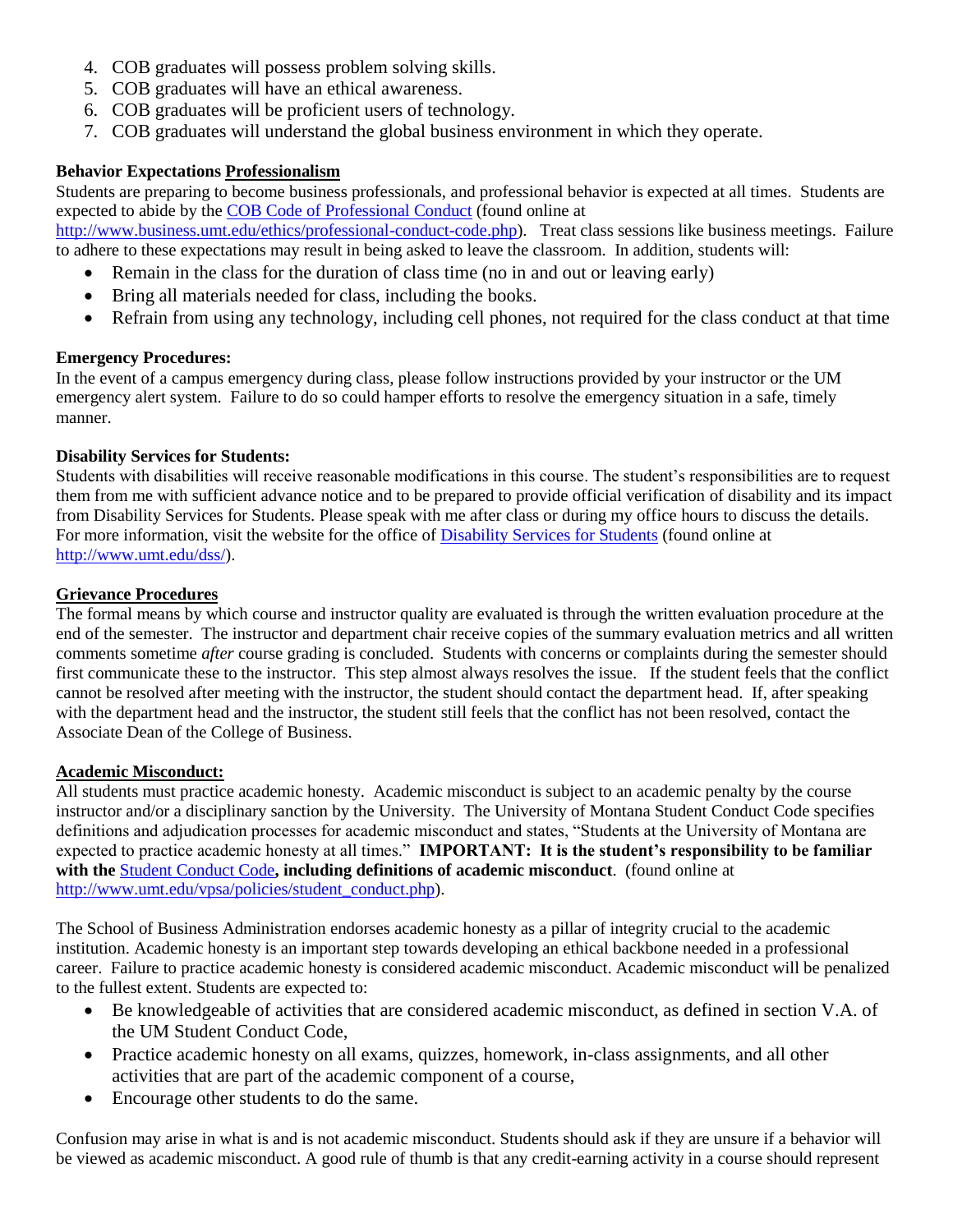- 4. COB graduates will possess problem solving skills.
- 5. COB graduates will have an ethical awareness.
- 6. COB graduates will be proficient users of technology.
- 7. COB graduates will understand the global business environment in which they operate.

#### **Behavior Expectations Professionalism**

Students are preparing to become business professionals, and professional behavior is expected at all times. Students are expected to abide by the [COB Code of Professional Conduct](COB%20Code%20of%20Professional%20Conduct) (found online at

[http://www.business.umt.edu/ethics/professional-conduct-code.php\)](http://www.business.umt.edu/ethics/professional-conduct-code.php). Treat class sessions like business meetings. Failure to adhere to these expectations may result in being asked to leave the classroom. In addition, students will:

- Remain in the class for the duration of class time (no in and out or leaving early)
- Bring all materials needed for class, including the books.
- Refrain from using any technology, including cell phones, not required for the class conduct at that time

#### **Emergency Procedures:**

In the event of a campus emergency during class, please follow instructions provided by your instructor or the UM emergency alert system. Failure to do so could hamper efforts to resolve the emergency situation in a safe, timely manner.

#### **Disability Services for Students:**

Students with disabilities will receive reasonable modifications in this course. The student's responsibilities are to request them from me with sufficient advance notice and to be prepared to provide official verification of disability and its impact from Disability Services for Students. Please speak with me after class or during my office hours to discuss the details. For more information, visit the website for the office of [Disability Services for Students](http://www.umt.edu/dss/) (found online at [http://www.umt.edu/dss/\)](http://www.umt.edu/dss/).

#### **Grievance Procedures**

The formal means by which course and instructor quality are evaluated is through the written evaluation procedure at the end of the semester. The instructor and department chair receive copies of the summary evaluation metrics and all written comments sometime *after* course grading is concluded. Students with concerns or complaints during the semester should first communicate these to the instructor. This step almost always resolves the issue. If the student feels that the conflict cannot be resolved after meeting with the instructor, the student should contact the department head. If, after speaking with the department head and the instructor, the student still feels that the conflict has not been resolved, contact the Associate Dean of the College of Business.

#### **Academic Misconduct:**

All students must practice academic honesty. Academic misconduct is subject to an academic penalty by the course instructor and/or a disciplinary sanction by the University. The University of Montana Student Conduct Code specifies definitions and adjudication processes for academic misconduct and states, "Students at the University of Montana are expected to practice academic honesty at all times." **IMPORTANT: It is the student's responsibility to be familiar with the** [Student Conduct Code](http://www.business.umt.edu/ethics/professional-conduct-code.php)**, including definitions of academic misconduct**. (found online at [http://www.umt.edu/vpsa/policies/student\\_conduct.php\)](http://www.umt.edu/vpsa/policies/student_conduct.php).

The School of Business Administration endorses academic honesty as a pillar of integrity crucial to the academic institution. Academic honesty is an important step towards developing an ethical backbone needed in a professional career. Failure to practice academic honesty is considered academic misconduct. Academic misconduct will be penalized to the fullest extent. Students are expected to:

- Be knowledgeable of activities that are considered academic misconduct, as defined in section V.A. of the UM Student Conduct Code,
- Practice academic honesty on all exams, quizzes, homework, in-class assignments, and all other activities that are part of the academic component of a course,
- Encourage other students to do the same.

Confusion may arise in what is and is not academic misconduct. Students should ask if they are unsure if a behavior will be viewed as academic misconduct. A good rule of thumb is that any credit-earning activity in a course should represent